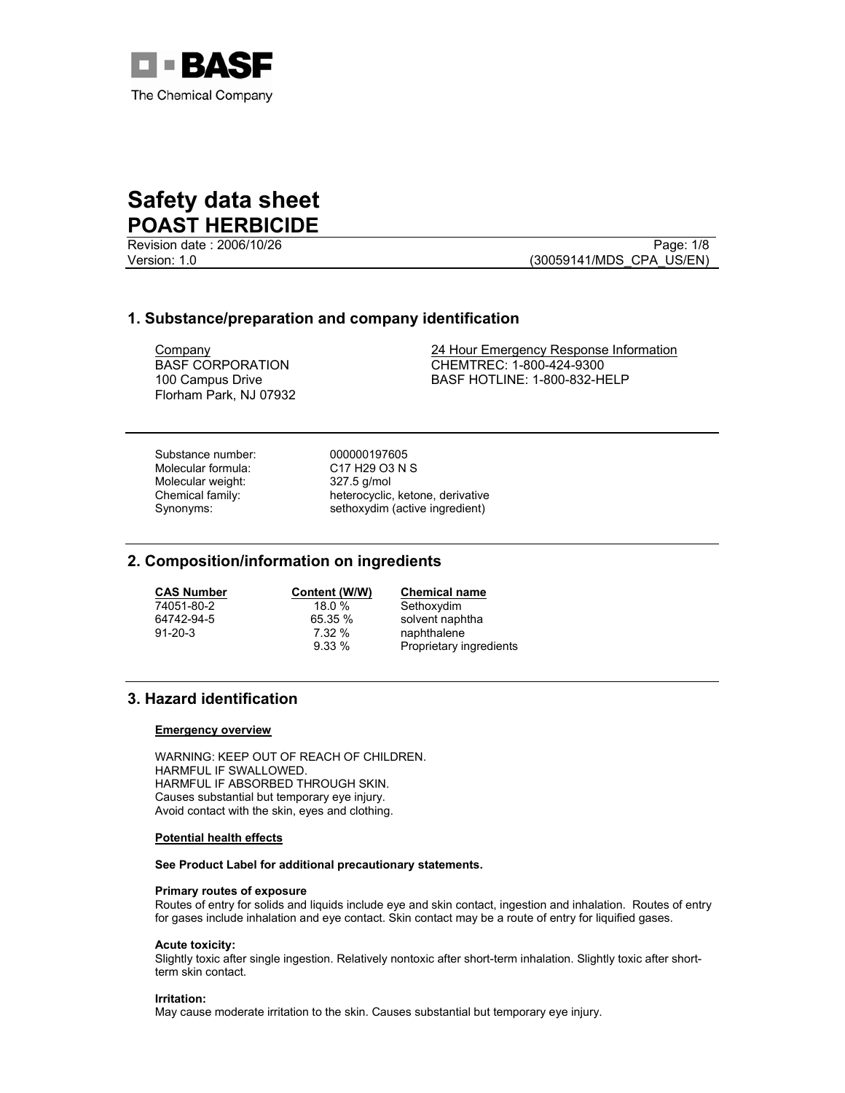

Revision date : 2006/10/26 Page: 1/8

Version: 1.0 (30059141/MDS\_CPA\_US/EN)

## **1. Substance/preparation and company identification**

BASF CORPORATION 100 Campus Drive Florham Park, NJ 07932

Company 24 Hour Emergency Response Information CHEMTREC: 1-800-424-9300 BASF HOTLINE: 1-800-832-HELP

Substance number: 000000197605 Molecular formula: C17 H29 O3 N S Molecular weight: 327.5 g/mol

Chemical family: heterocyclic, ketone, derivative Synonyms: sethoxydim (active ingredient)

## **2. Composition/information on ingredients**

**CAS Number Content (W/W) Chemical name**

Sethoxydim 64742-94-5 65.35 % solvent naphtha 91-20-3 7.32 % naphthalene<br>9.33 % Proprietary in Proprietary ingredients

# **3. Hazard identification**

#### **Emergency overview**

WARNING: KEEP OUT OF REACH OF CHILDREN. HARMFUL IF SWALLOWED. HARMFUL IF ABSORBED THROUGH SKIN. Causes substantial but temporary eye injury. Avoid contact with the skin, eyes and clothing.

#### **Potential health effects**

**See Product Label for additional precautionary statements.** 

#### **Primary routes of exposure**

Routes of entry for solids and liquids include eye and skin contact, ingestion and inhalation. Routes of entry for gases include inhalation and eye contact. Skin contact may be a route of entry for liquified gases.

#### **Acute toxicity:**

Slightly toxic after single ingestion. Relatively nontoxic after short-term inhalation. Slightly toxic after shortterm skin contact.

#### **Irritation:**

May cause moderate irritation to the skin. Causes substantial but temporary eye injury.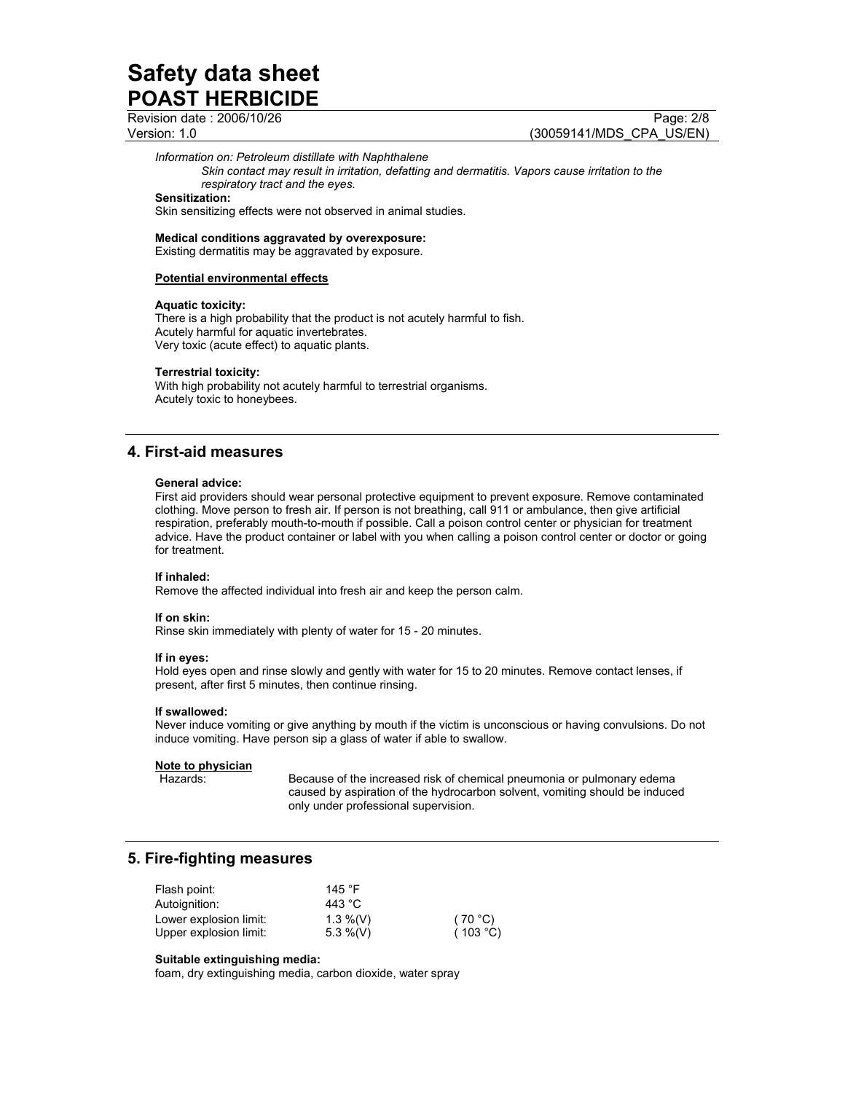Revision date : 2006/10/26 Page: 2/8

Version: 1.0 (30059141/MDS\_CPA\_US/EN)

### *Information on: Petroleum distillate with Naphthalene*

*Skin contact may result in irritation, defatting and dermatitis. Vapors cause irritation to the respiratory tract and the eyes.*

#### **Sensitization:**

Skin sensitizing effects were not observed in animal studies.

#### **Medical conditions aggravated by overexposure:**

Existing dermatitis may be aggravated by exposure.

#### **Potential environmental effects**

#### **Aquatic toxicity:**

There is a high probability that the product is not acutely harmful to fish. Acutely harmful for aquatic invertebrates. Very toxic (acute effect) to aquatic plants.

#### **Terrestrial toxicity:**

With high probability not acutely harmful to terrestrial organisms. Acutely toxic to honeybees.

## **4. First-aid measures**

#### **General advice:**

First aid providers should wear personal protective equipment to prevent exposure. Remove contaminated clothing. Move person to fresh air. If person is not breathing, call 911 or ambulance, then give artificial respiration, preferably mouth-to-mouth if possible. Call a poison control center or physician for treatment advice. Have the product container or label with you when calling a poison control center or doctor or going for treatment.

#### **If inhaled:**

Remove the affected individual into fresh air and keep the person calm.

#### **If on skin:**

Rinse skin immediately with plenty of water for 15 - 20 minutes.

#### **If in eyes:**

Hold eyes open and rinse slowly and gently with water for 15 to 20 minutes. Remove contact lenses, if present, after first 5 minutes, then continue rinsing.

#### **If swallowed:**

Never induce vomiting or give anything by mouth if the victim is unconscious or having convulsions. Do not induce vomiting. Have person sip a glass of water if able to swallow.

#### **Note to physician**

Hazards: Because of the increased risk of chemical pneumonia or pulmonary edema caused by aspiration of the hydrocarbon solvent, vomiting should be induced only under professional supervision.

## **5. Fire-fighting measures**

| Flash point:           | 145 $\degree$ F |          |
|------------------------|-----------------|----------|
| Autoignition:          | 443 °C          |          |
| Lower explosion limit: | $1.3\%$ (V)     | (70 °C)  |
| Upper explosion limit: | 5.3 %(V)        | (103 °C) |

#### **Suitable extinguishing media:**

foam, dry extinguishing media, carbon dioxide, water spray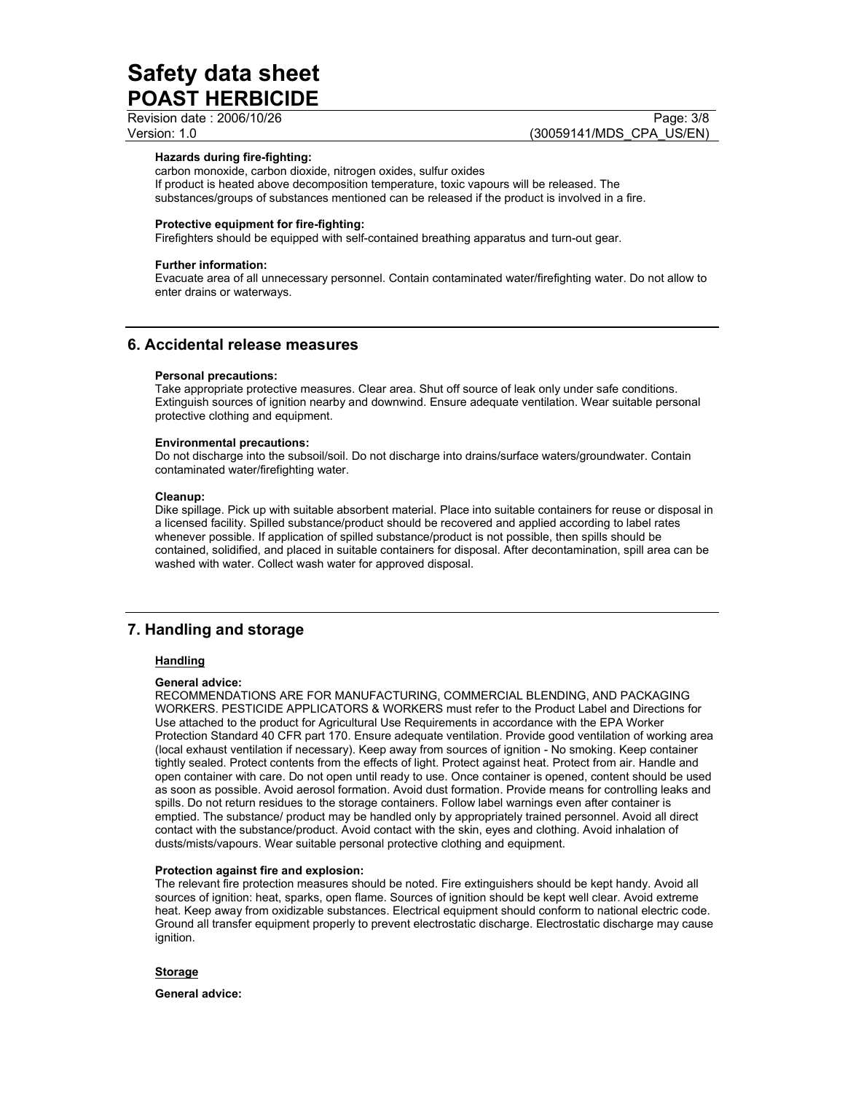Revision date : 2006/10/26 Page: 3/8

Version: 1.0 (30059141/MDS\_CPA\_US/EN)

## **Hazards during fire-fighting:**

carbon monoxide, carbon dioxide, nitrogen oxides, sulfur oxides If product is heated above decomposition temperature, toxic vapours will be released. The substances/groups of substances mentioned can be released if the product is involved in a fire.

#### **Protective equipment for fire-fighting:**

Firefighters should be equipped with self-contained breathing apparatus and turn-out gear.

#### **Further information:**

Evacuate area of all unnecessary personnel. Contain contaminated water/firefighting water. Do not allow to enter drains or waterways.

# **6. Accidental release measures**

#### **Personal precautions:**

Take appropriate protective measures. Clear area. Shut off source of leak only under safe conditions. Extinguish sources of ignition nearby and downwind. Ensure adequate ventilation. Wear suitable personal protective clothing and equipment.

#### **Environmental precautions:**

Do not discharge into the subsoil/soil. Do not discharge into drains/surface waters/groundwater. Contain contaminated water/firefighting water.

#### **Cleanup:**

Dike spillage. Pick up with suitable absorbent material. Place into suitable containers for reuse or disposal in a licensed facility. Spilled substance/product should be recovered and applied according to label rates whenever possible. If application of spilled substance/product is not possible, then spills should be contained, solidified, and placed in suitable containers for disposal. After decontamination, spill area can be washed with water. Collect wash water for approved disposal.

# **7. Handling and storage**

### **Handling**

#### **General advice:**

RECOMMENDATIONS ARE FOR MANUFACTURING, COMMERCIAL BLENDING, AND PACKAGING WORKERS. PESTICIDE APPLICATORS & WORKERS must refer to the Product Label and Directions for Use attached to the product for Agricultural Use Requirements in accordance with the EPA Worker Protection Standard 40 CFR part 170. Ensure adequate ventilation. Provide good ventilation of working area (local exhaust ventilation if necessary). Keep away from sources of ignition - No smoking. Keep container tightly sealed. Protect contents from the effects of light. Protect against heat. Protect from air. Handle and open container with care. Do not open until ready to use. Once container is opened, content should be used as soon as possible. Avoid aerosol formation. Avoid dust formation. Provide means for controlling leaks and spills. Do not return residues to the storage containers. Follow label warnings even after container is emptied. The substance/ product may be handled only by appropriately trained personnel. Avoid all direct contact with the substance/product. Avoid contact with the skin, eyes and clothing. Avoid inhalation of dusts/mists/vapours. Wear suitable personal protective clothing and equipment.

#### **Protection against fire and explosion:**

The relevant fire protection measures should be noted. Fire extinguishers should be kept handy. Avoid all sources of ignition: heat, sparks, open flame. Sources of ignition should be kept well clear. Avoid extreme heat. Keep away from oxidizable substances. Electrical equipment should conform to national electric code. Ground all transfer equipment properly to prevent electrostatic discharge. Electrostatic discharge may cause ignition.

**Storage**

**General advice:**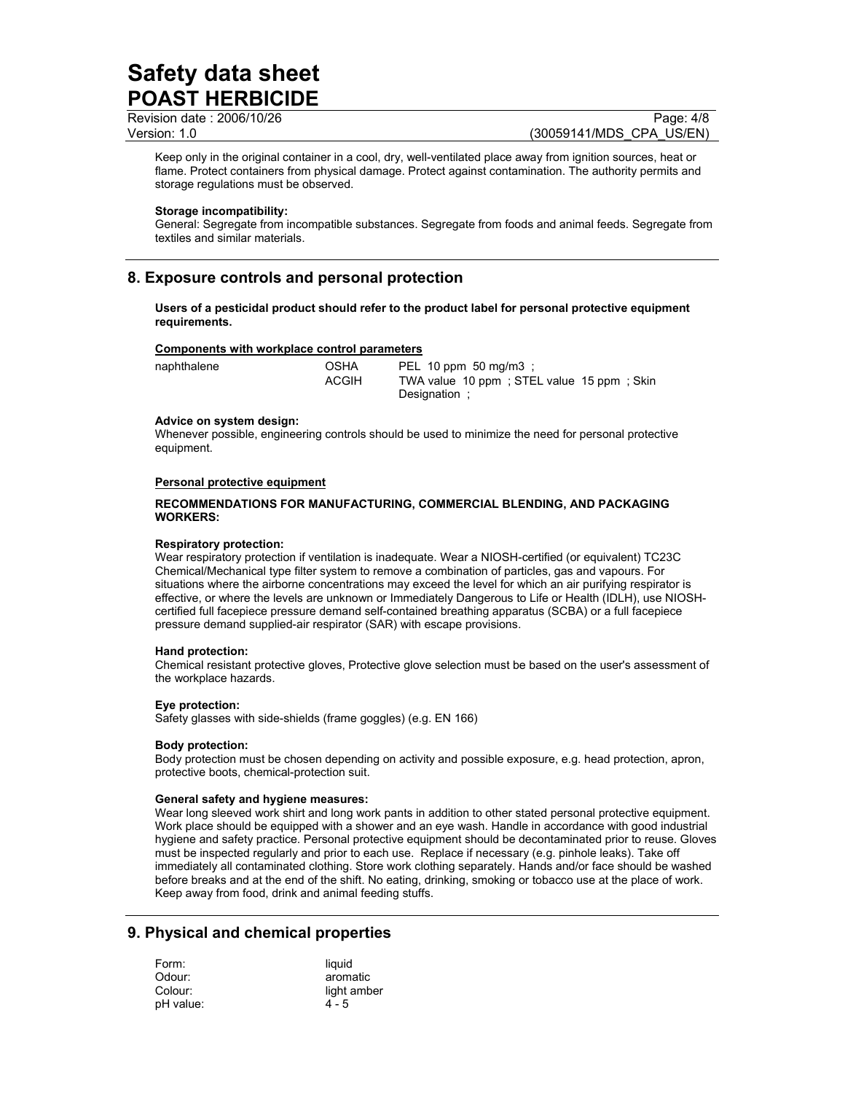Revision date : 2006/10/26 Page: 4/8

Version: 1.0 (30059141/MDS\_CPA\_US/EN)

Keep only in the original container in a cool, dry, well-ventilated place away from ignition sources, heat or flame. Protect containers from physical damage. Protect against contamination. The authority permits and storage regulations must be observed.

#### **Storage incompatibility:**

General: Segregate from incompatible substances. Segregate from foods and animal feeds. Segregate from textiles and similar materials.

# **8. Exposure controls and personal protection**

**Users of a pesticidal product should refer to the product label for personal protective equipment requirements.** 

#### **Components with workplace control parameters**

| naphthalene | OSHA         | PEL 10 ppm 50 mg/m3 ;                                       |
|-------------|--------------|-------------------------------------------------------------|
|             | <b>ACGIH</b> | TWA value 10 ppm : STEL value 15 ppm : Skin<br>Designation: |

#### **Advice on system design:**

Whenever possible, engineering controls should be used to minimize the need for personal protective equipment.

#### **Personal protective equipment**

#### **RECOMMENDATIONS FOR MANUFACTURING, COMMERCIAL BLENDING, AND PACKAGING WORKERS:**

#### **Respiratory protection:**

Wear respiratory protection if ventilation is inadequate. Wear a NIOSH-certified (or equivalent) TC23C Chemical/Mechanical type filter system to remove a combination of particles, gas and vapours. For situations where the airborne concentrations may exceed the level for which an air purifying respirator is effective, or where the levels are unknown or Immediately Dangerous to Life or Health (IDLH), use NIOSHcertified full facepiece pressure demand self-contained breathing apparatus (SCBA) or a full facepiece pressure demand supplied-air respirator (SAR) with escape provisions.

#### **Hand protection:**

Chemical resistant protective gloves, Protective glove selection must be based on the user's assessment of the workplace hazards.

#### **Eye protection:**

Safety glasses with side-shields (frame goggles) (e.g. EN 166)

#### **Body protection:**

Body protection must be chosen depending on activity and possible exposure, e.g. head protection, apron, protective boots, chemical-protection suit.

#### **General safety and hygiene measures:**

Wear long sleeved work shirt and long work pants in addition to other stated personal protective equipment. Work place should be equipped with a shower and an eye wash. Handle in accordance with good industrial hygiene and safety practice. Personal protective equipment should be decontaminated prior to reuse. Gloves must be inspected regularly and prior to each use. Replace if necessary (e.g. pinhole leaks). Take off immediately all contaminated clothing. Store work clothing separately. Hands and/or face should be washed before breaks and at the end of the shift. No eating, drinking, smoking or tobacco use at the place of work. Keep away from food, drink and animal feeding stuffs.

## **9. Physical and chemical properties**

| Form:     | liauid      |
|-----------|-------------|
| Odour:    | aromatic    |
| Colour:   | light amber |
| pH value: | $4 - 5$     |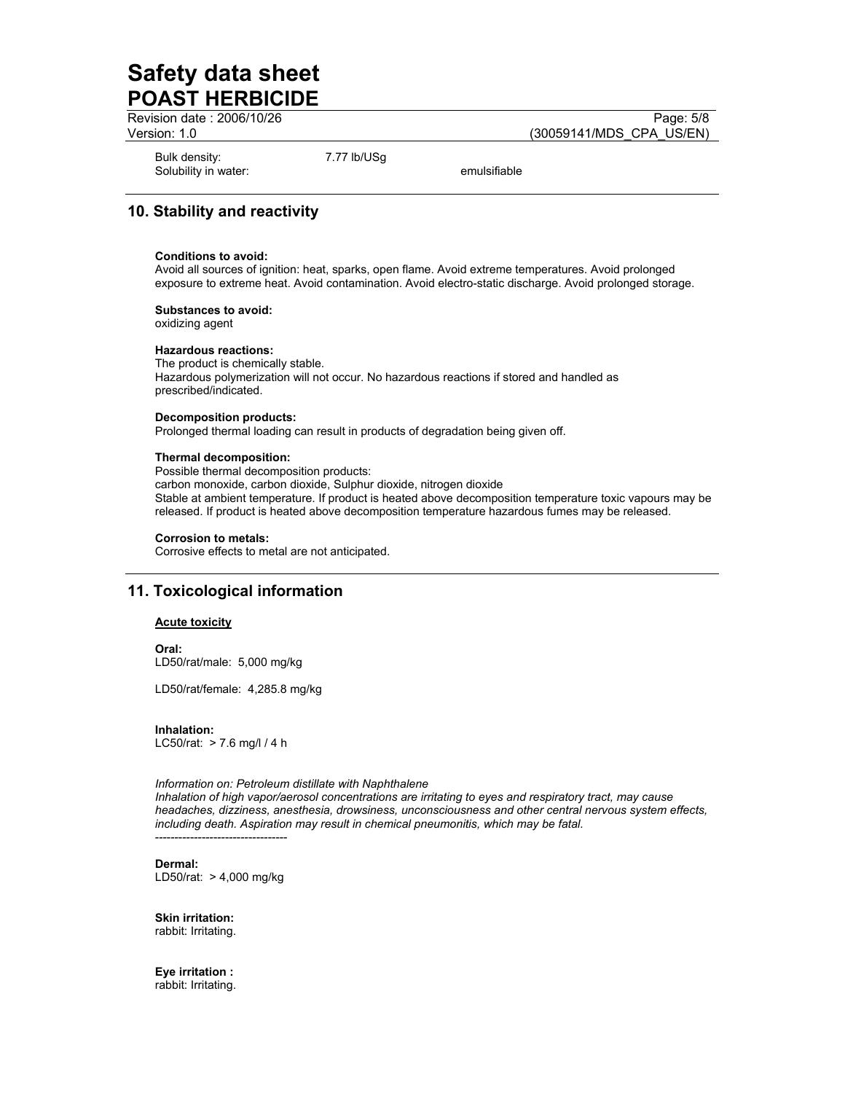Revision date : 2006/10/26 Page: 5/8

Version: 1.0 (30059141/MDS\_CPA\_US/EN)

Bulk density: 7.77 lb/USg Solubility in water: emulsifiable

# **10. Stability and reactivity**

#### **Conditions to avoid:**

Avoid all sources of ignition: heat, sparks, open flame. Avoid extreme temperatures. Avoid prolonged exposure to extreme heat. Avoid contamination. Avoid electro-static discharge. Avoid prolonged storage.

#### **Substances to avoid:**

oxidizing agent

#### **Hazardous reactions:**

The product is chemically stable. Hazardous polymerization will not occur. No hazardous reactions if stored and handled as prescribed/indicated.

#### **Decomposition products:**

Prolonged thermal loading can result in products of degradation being given off.

#### **Thermal decomposition:**

Possible thermal decomposition products: carbon monoxide, carbon dioxide, Sulphur dioxide, nitrogen dioxide Stable at ambient temperature. If product is heated above decomposition temperature toxic vapours may be released. If product is heated above decomposition temperature hazardous fumes may be released.

#### **Corrosion to metals:**

Corrosive effects to metal are not anticipated.

## **11. Toxicological information**

#### **Acute toxicity**

**Oral:**  LD50/rat/male: 5,000 mg/kg

LD50/rat/female: 4,285.8 mg/kg

**Inhalation:**  LC50/rat: > 7.6 mg/l / 4 h

#### *Information on: Petroleum distillate with Naphthalene*

*Inhalation of high vapor/aerosol concentrations are irritating to eyes and respiratory tract, may cause headaches, dizziness, anesthesia, drowsiness, unconsciousness and other central nervous system effects, including death. Aspiration may result in chemical pneumonitis, which may be fatal.*  ----------------------------------

**Dermal:**  LD50/rat: > 4,000 mg/kg

**Skin irritation:**  rabbit: Irritating.

**Eye irritation :**  rabbit: Irritating.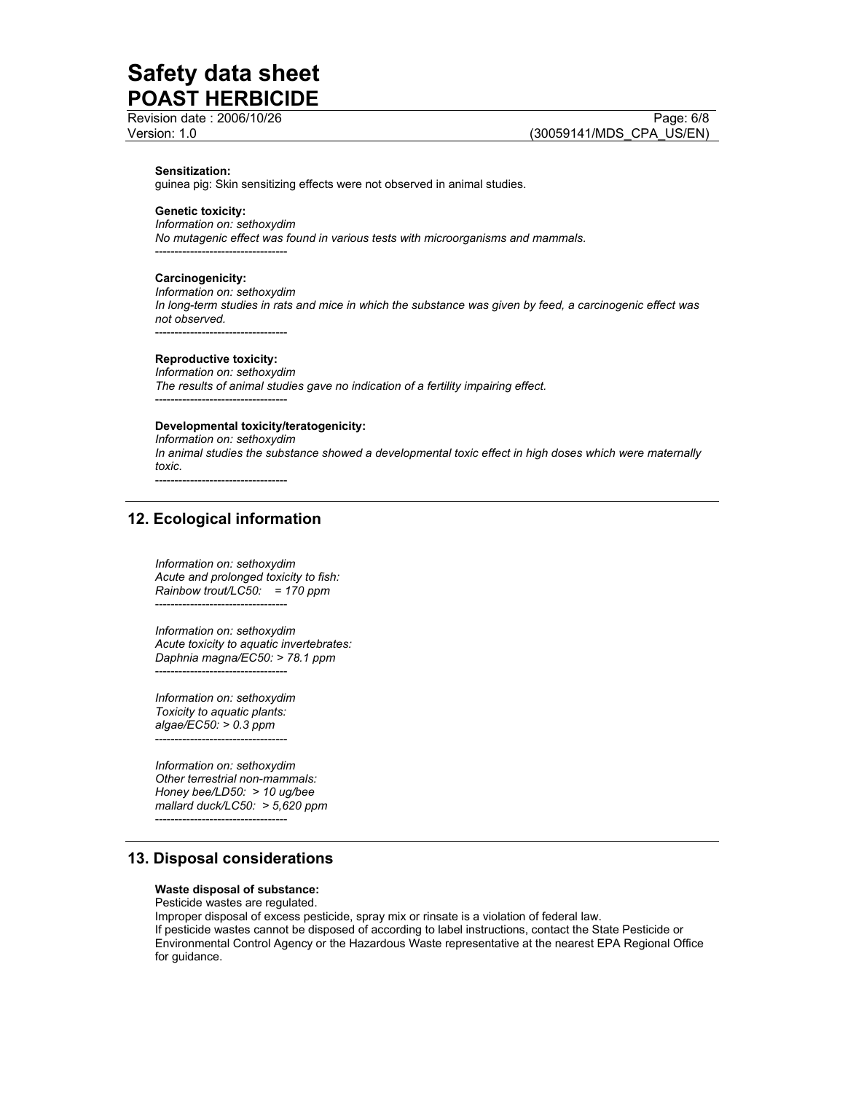Revision date : 2006/10/26 Page: 6/8

#### **Sensitization:**

guinea pig: Skin sensitizing effects were not observed in animal studies.

#### **Genetic toxicity:**

*Information on: sethoxydim No mutagenic effect was found in various tests with microorganisms and mammals.* 

----------------------------------

#### **Carcinogenicity:**

*Information on: sethoxydim In long-term studies in rats and mice in which the substance was given by feed, a carcinogenic effect was not observed.* 

----------------------------------

#### **Reproductive toxicity:**

*Information on: sethoxydim The results of animal studies gave no indication of a fertility impairing effect.*  ----------------------------------

#### **Developmental toxicity/teratogenicity:**

*Information on: sethoxydim In animal studies the substance showed a developmental toxic effect in high doses which were maternally toxic.* 

----------------------------------

### **12. Ecological information**

*Information on: sethoxydim Acute and prolonged toxicity to fish: Rainbow trout/LC50: = 170 ppm*  ----------------------------------

*Information on: sethoxydim Acute toxicity to aquatic invertebrates: Daphnia magna/EC50: > 78.1 ppm*  ----------------------------------

*Information on: sethoxydim Toxicity to aquatic plants: algae/EC50: > 0.3 ppm*  ----------------------------------

*Information on: sethoxydim Other terrestrial non-mammals: Honey bee/LD50: > 10 ug/bee mallard duck/LC50: > 5,620 ppm*  ----------------------------------

## **13. Disposal considerations**

#### **Waste disposal of substance:**

Pesticide wastes are regulated.

Improper disposal of excess pesticide, spray mix or rinsate is a violation of federal law. If pesticide wastes cannot be disposed of according to label instructions, contact the State Pesticide or Environmental Control Agency or the Hazardous Waste representative at the nearest EPA Regional Office for guidance.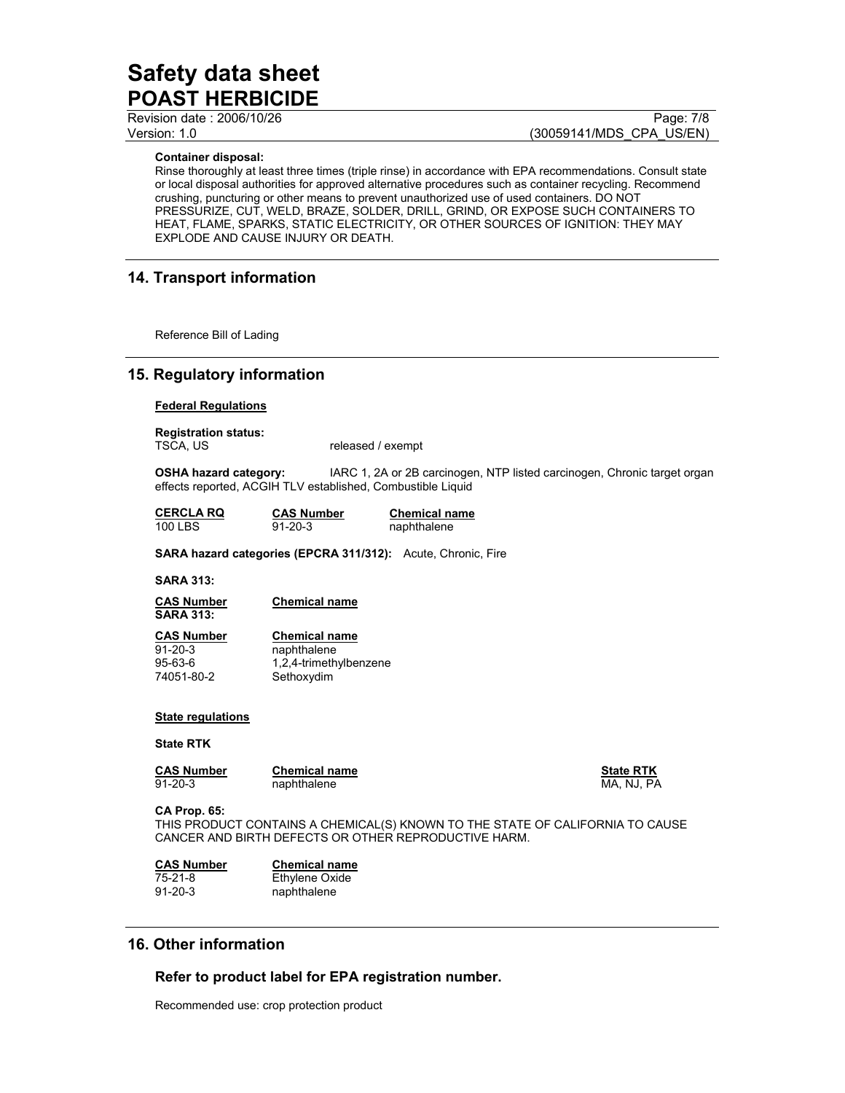Revision date : 2006/10/26 Page: 7/8

Version: 1.0 (30059141/MDS\_CPA\_US/EN)

**Container disposal:** 

Rinse thoroughly at least three times (triple rinse) in accordance with EPA recommendations. Consult state or local disposal authorities for approved alternative procedures such as container recycling. Recommend crushing, puncturing or other means to prevent unauthorized use of used containers. DO NOT PRESSURIZE, CUT, WELD, BRAZE, SOLDER, DRILL, GRIND, OR EXPOSE SUCH CONTAINERS TO HEAT, FLAME, SPARKS, STATIC ELECTRICITY, OR OTHER SOURCES OF IGNITION: THEY MAY EXPLODE AND CAUSE INJURY OR DEATH.

# **14. Transport information**

Reference Bill of Lading

## **15. Regulatory information**

**Federal Regulations**

**Registration status:** 

released / exempt

**OSHA hazard category:** IARC 1, 2A or 2B carcinogen, NTP listed carcinogen, Chronic target organ effects reported, ACGIH TLV established, Combustible Liquid

| <b>CERCLA RQ</b> | <b>CAS Number</b> | <b>Chemical name</b> |
|------------------|-------------------|----------------------|
| 100 LBS          | $91 - 20 - 3$     | naphthalene          |

**SARA hazard categories (EPCRA 311/312):** Acute, Chronic, Fire

#### **SARA 313:**

**CAS Number Chemical name SARA 313:** 

**CAS Number Chemical name** 91-20-3 naphthalene 95-63-6 1,2,4-trimethylbenzene 74051-80-2 Sethoxydim

#### **State regulations**

#### **State RTK**

**CAS Number Chemical name Change CAS Number State RTK** 91-20-3 naphthalene metals are made in the MA, NJ, PA

**CA Prop. 65:** 

THIS PRODUCT CONTAINS A CHEMICAL(S) KNOWN TO THE STATE OF CALIFORNIA TO CAUSE CANCER AND BIRTH DEFECTS OR OTHER REPRODUCTIVE HARM.

**CAS Number Chemical name** 75-21-8 Ethylene Oxide 91-20-3 naphthalene

## **16. Other information**

**Refer to product label for EPA registration number.** 

Recommended use: crop protection product